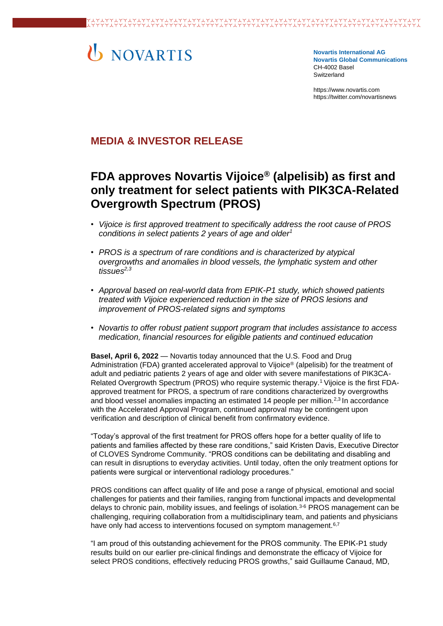# U NOVARTIS

**Novartis International AG Novartis Global Communications**  CH-4002 Basel Switzerland

[https://www.novartis.com](https://www.novartis.com/) https://twitter.com/novartisnews

# **MEDIA & INVESTOR RELEASE**

# **FDA approves Novartis Vijoice® (alpelisib) as first and only treatment for select patients with PIK3CA-Related Overgrowth Spectrum (PROS)**

- *Vijoice is first approved treatment to specifically address the root cause of PROS conditions in select patients 2 years of age and older<sup>1</sup>*
- *PROS is a spectrum of rare conditions and is characterized by atypical overgrowths and anomalies in blood vessels, the lymphatic system and other tissues2,3*
- *Approval based on real-world data from EPIK-P1 study, which showed patients treated with Vijoice experienced reduction in the size of PROS lesions and improvement of PROS-related signs and symptoms*
- *Novartis to offer robust patient support program that includes assistance to access medication, financial resources for eligible patients and continued education*

**Basel, April 6, 2022** — Novartis today announced that the U.S. Food and Drug Administration (FDA) granted accelerated approval to Vijoice® (alpelisib) for the treatment of adult and pediatric patients 2 years of age and older with severe manifestations of PIK3CA-Related Overgrowth Spectrum (PROS) who require systemic therapy.1 Vijoice is the first FDAapproved treatment for PROS, a spectrum of rare conditions characterized by overgrowths and blood vessel anomalies impacting an estimated 14 people per million.<sup>2,3</sup> In accordance with the Accelerated Approval Program, continued approval may be contingent upon verification and description of clinical benefit from confirmatory evidence.

"Today's approval of the first treatment for PROS offers hope for a better quality of life to patients and families affected by these rare conditions," said Kristen Davis, Executive Director of CLOVES Syndrome Community. "PROS conditions can be debilitating and disabling and can result in disruptions to everyday activities. Until today, often the only treatment options for patients were surgical or interventional radiology procedures."

PROS conditions can affect quality of life and pose a range of physical, emotional and social challenges for patients and their families, ranging from functional impacts and developmental delays to chronic pain, mobility issues, and feelings of isolation.3-6 PROS management can be challenging, requiring collaboration from a multidisciplinary team, and patients and physicians have only had access to interventions focused on symptom management.<sup>6,7</sup>

"I am proud of this outstanding achievement for the PROS community. The EPIK-P1 study results build on our earlier pre-clinical findings and demonstrate the efficacy of Vijoice for select PROS conditions, effectively reducing PROS growths," said Guillaume Canaud, MD,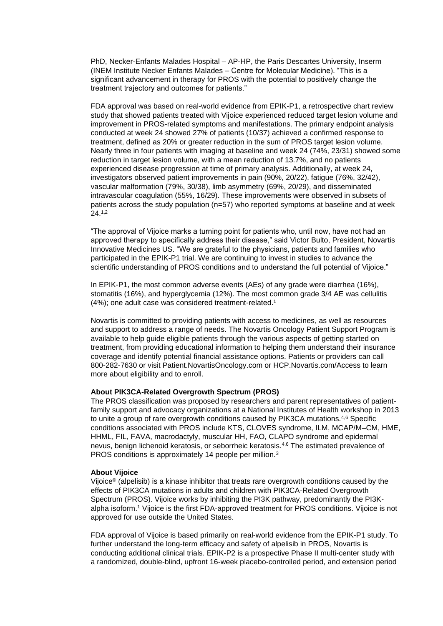PhD, Necker-Enfants Malades Hospital – AP-HP, the Paris Descartes University, Inserm (INEM Institute Necker Enfants Malades – Centre for Molecular Medicine). "This is a significant advancement in therapy for PROS with the potential to positively change the treatment trajectory and outcomes for patients."

FDA approval was based on real-world evidence from EPIK-P1, a retrospective chart review study that showed patients treated with Vijoice experienced reduced target lesion volume and improvement in PROS-related symptoms and manifestations. The primary endpoint analysis conducted at week 24 showed 27% of patients (10/37) achieved a confirmed response to treatment, defined as 20% or greater reduction in the sum of PROS target lesion volume. Nearly three in four patients with imaging at baseline and week 24 (74%, 23/31) showed some reduction in target lesion volume, with a mean reduction of 13.7%, and no patients experienced disease progression at time of primary analysis. Additionally, at week 24, investigators observed patient improvements in pain (90%, 20/22), fatigue (76%, 32/42), vascular malformation (79%, 30/38), limb asymmetry (69%, 20/29), and disseminated intravascular coagulation (55%, 16/29). These improvements were observed in subsets of patients across the study population (n=57) who reported symptoms at baseline and at week 24. 1,2

"The approval of Vijoice marks a turning point for patients who, until now, have not had an approved therapy to specifically address their disease," said Victor Bulto, President, Novartis Innovative Medicines US. "We are grateful to the physicians, patients and families who participated in the EPIK-P1 trial. We are continuing to invest in studies to advance the scientific understanding of PROS conditions and to understand the full potential of Vijoice."

In EPIK-P1, the most common adverse events (AEs) of any grade were diarrhea (16%), stomatitis (16%), and hyperglycemia (12%). The most common grade 3/4 AE was cellulitis (4%); one adult case was considered treatment-related.<sup>1</sup>

Novartis is committed to providing patients with access to medicines, as well as resources and support to address a range of needs. The Novartis Oncology Patient Support Program is available to help guide eligible patients through the various aspects of getting started on treatment, from providing educational information to helping them understand their insurance coverage and identify potential financial assistance options. Patients or providers can call 800-282-7630 or visit Patient.NovartisOncology.com or HCP.Novartis.com/Access to learn more about eligibility and to enroll.

### **About PIK3CA-Related Overgrowth Spectrum (PROS)**

The PROS classification was proposed by researchers and parent representatives of patientfamily support and advocacy organizations at a National Institutes of Health workshop in 2013 to unite a group of rare overgrowth conditions caused by PIK3CA mutations.4,6 Specific conditions associated with PROS include KTS, CLOVES syndrome, ILM, MCAP/M–CM, HME, HHML, FIL, FAVA, macrodactyly, muscular HH, FAO, CLAPO syndrome and epidermal nevus, benign lichenoid keratosis, or seborrheic keratosis.4,6 The estimated prevalence of PROS conditions is approximately 14 people per million.<sup>3</sup>

#### **About Vijoice**

Vijoice® (alpelisib) is a kinase inhibitor that treats rare overgrowth conditions caused by the effects of PIK3CA mutations in adults and children with PIK3CA-Related Overgrowth Spectrum (PROS). Vijoice works by inhibiting the PI3K pathway, predominantly the PI3Kalpha isoform.<sup>1</sup> Vijoice is the first FDA-approved treatment for PROS conditions. Vijoice is not approved for use outside the United States.

FDA approval of Vijoice is based primarily on real-world evidence from the EPIK-P1 study. To further understand the long-term efficacy and safety of alpelisib in PROS, Novartis is conducting additional clinical trials. EPIK-P2 is a prospective Phase II multi-center study with a randomized, double-blind, upfront 16-week placebo-controlled period, and extension period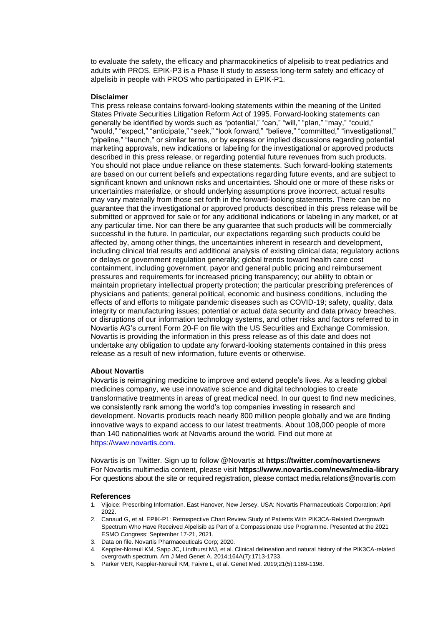to evaluate the safety, the efficacy and pharmacokinetics of alpelisib to treat pediatrics and adults with PROS. EPIK-P3 is a Phase II study to assess long-term safety and efficacy of alpelisib in people with PROS who participated in EPIK-P1.

#### **Disclaimer**

This press release contains forward-looking statements within the meaning of the United States Private Securities Litigation Reform Act of 1995. Forward-looking statements can generally be identified by words such as "potential," "can," "will," "plan," "may," "could," "would," "expect," "anticipate," "seek," "look forward," "believe," "committed," "investigational," "pipeline," "launch," or similar terms, or by express or implied discussions regarding potential marketing approvals, new indications or labeling for the investigational or approved products described in this press release, or regarding potential future revenues from such products. You should not place undue reliance on these statements. Such forward-looking statements are based on our current beliefs and expectations regarding future events, and are subject to significant known and unknown risks and uncertainties. Should one or more of these risks or uncertainties materialize, or should underlying assumptions prove incorrect, actual results may vary materially from those set forth in the forward-looking statements. There can be no guarantee that the investigational or approved products described in this press release will be submitted or approved for sale or for any additional indications or labeling in any market, or at any particular time. Nor can there be any guarantee that such products will be commercially successful in the future. In particular, our expectations regarding such products could be affected by, among other things, the uncertainties inherent in research and development, including clinical trial results and additional analysis of existing clinical data; regulatory actions or delays or government regulation generally; global trends toward health care cost containment, including government, payor and general public pricing and reimbursement pressures and requirements for increased pricing transparency; our ability to obtain or maintain proprietary intellectual property protection; the particular prescribing preferences of physicians and patients; general political, economic and business conditions, including the effects of and efforts to mitigate pandemic diseases such as COVID-19; safety, quality, data integrity or manufacturing issues; potential or actual data security and data privacy breaches, or disruptions of our information technology systems, and other risks and factors referred to in Novartis AG's current Form 20-F on file with the US Securities and Exchange Commission. Novartis is providing the information in this press release as of this date and does not undertake any obligation to update any forward-looking statements contained in this press release as a result of new information, future events or otherwise.

#### **About Novartis**

Novartis is reimagining medicine to improve and extend people's lives. As a leading global medicines company, we use innovative science and digital technologies to create transformative treatments in areas of great medical need. In our quest to find new medicines, we consistently rank among the world's top companies investing in research and development. Novartis products reach nearly 800 million people globally and we are finding innovative ways to expand access to our latest treatments. About 108,000 people of more than 140 nationalities work at Novartis around the world. Find out more at https://www.novartis.com.

Novartis is on Twitter. Sign up to follow @Novartis at **<https://twitter.com/novartisnews>** For Novartis multimedia content, please visit **https:/[/www.novartis.com/news/media-library](http://www.novartis.com/news/media-library)** For questions about the site or required registration, please contact [media.relations@novartis.com](mailto:media.relations@novartis.com)

#### **References**

- 1. Vijoice: Prescribing Information. East Hanover, New Jersey, USA: Novartis Pharmaceuticals Corporation; April 2022.
- 2. Canaud G, et al. EPIK-P1: Retrospective Chart Review Study of Patients With PIK3CA-Related Overgrowth Spectrum Who Have Received Alpelisib as Part of a Compassionate Use Programme. Presented at the 2021 ESMO Congress; September 17-21, 2021.
- 3. Data on file. Novartis Pharmaceuticals Corp; 2020.
- 4. Keppler-Noreuil KM, Sapp JC, Lindhurst MJ, et al. Clinical delineation and natural history of the PIK3CA-related overgrowth spectrum. Am J Med Genet A. 2014;164A(7):1713-1733.
- 5. Parker VER, Keppler-Noreuil KM, Faivre L, et al. Genet Med. 2019;21(5):1189-1198.